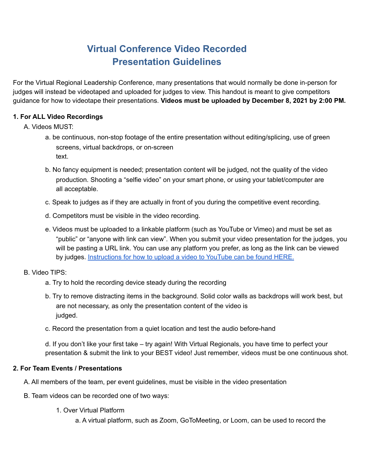# **Virtual Conference Video Recorded Presentation Guidelines**

For the Virtual Regional Leadership Conference, many presentations that would normally be done in-person for judges will instead be videotaped and uploaded for judges to view. This handout is meant to give competitors guidance for how to videotape their presentations. **Videos must be uploaded by December 8, 2021 by 2:00 PM.**

## **1. For ALL Video Recordings**

- A. Videos MUST:
	- a. be continuous, non-stop footage of the entire presentation without editing/splicing, use of green screens, virtual backdrops, or on-screen text.
	- b. No fancy equipment is needed; presentation content will be judged, not the quality of the video production. Shooting a "selfie video" on your smart phone, or using your tablet/computer are all acceptable.
	- c. Speak to judges as if they are actually in front of you during the competitive event recording.
	- d. Competitors must be visible in the video recording.
	- e. Videos must be uploaded to a linkable platform (such as YouTube or Vimeo) and must be set as "public" or "anyone with link can view". When you submit your video presentation for the judges, you will be pasting a URL link. You can use any platform you prefer, as long as the link can be viewed by judges. [Instructions](https://support.google.com/youtube/answer/57407?co=GENIE.Platform%3DDesktop&hl=en) for how to upload a video to YouTube can be found HERE.

### B. Video TIPS:

- a. Try to hold the recording device steady during the recording
- b. Try to remove distracting items in the background. Solid color walls as backdrops will work best, but are not necessary, as only the presentation content of the video is judged.
- c. Record the presentation from a quiet location and test the audio before-hand

d. If you don't like your first take – try again! With Virtual Regionals, you have time to perfect your presentation & submit the link to your BEST video! Just remember, videos must be one continuous shot.

### **2. For Team Events / Presentations**

A. All members of the team, per event guidelines, must be visible in the video presentation

- B. Team videos can be recorded one of two ways:
	- 1. Over Virtual Platform

a. A virtual platform, such as Zoom, GoToMeeting, or Loom, can be used to record the